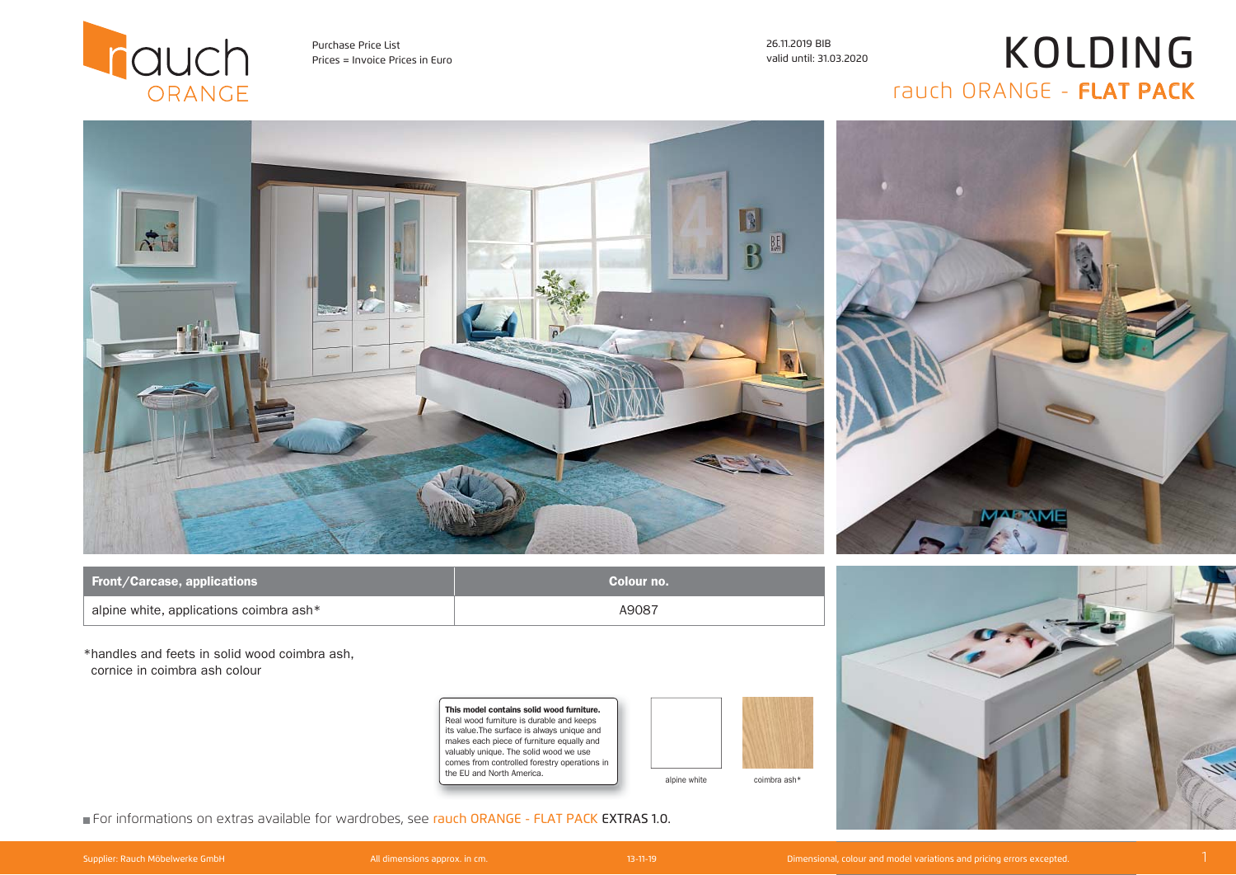

Prices = Invoice Prices in Euro valid until: 31.03.2020 Purchase Price List 26.11.2019 BIB

## KOLDING rauch ORANGE - FLAT PACK



| <b>Front/Carcase, applications</b>              | Colour no. |
|-------------------------------------------------|------------|
| $\vert$ alpine white, applications coimbra ash* | A9087      |

\*handles and feets in solid wood coimbra ash, cornice in coimbra ash colour

> This model contains solid wood furniture. Real wood furniture is durable and keeps its value.The surface is always unique and makes each piece of furniture equally and valuably unique. The solid wood we use comes from controlled forestry operations in the EU and North America.



alpine white coimbra ash\*



For informations on extras available for wardrobes, see rauch ORANGE - FLAT PACK EXTRAS 1.0.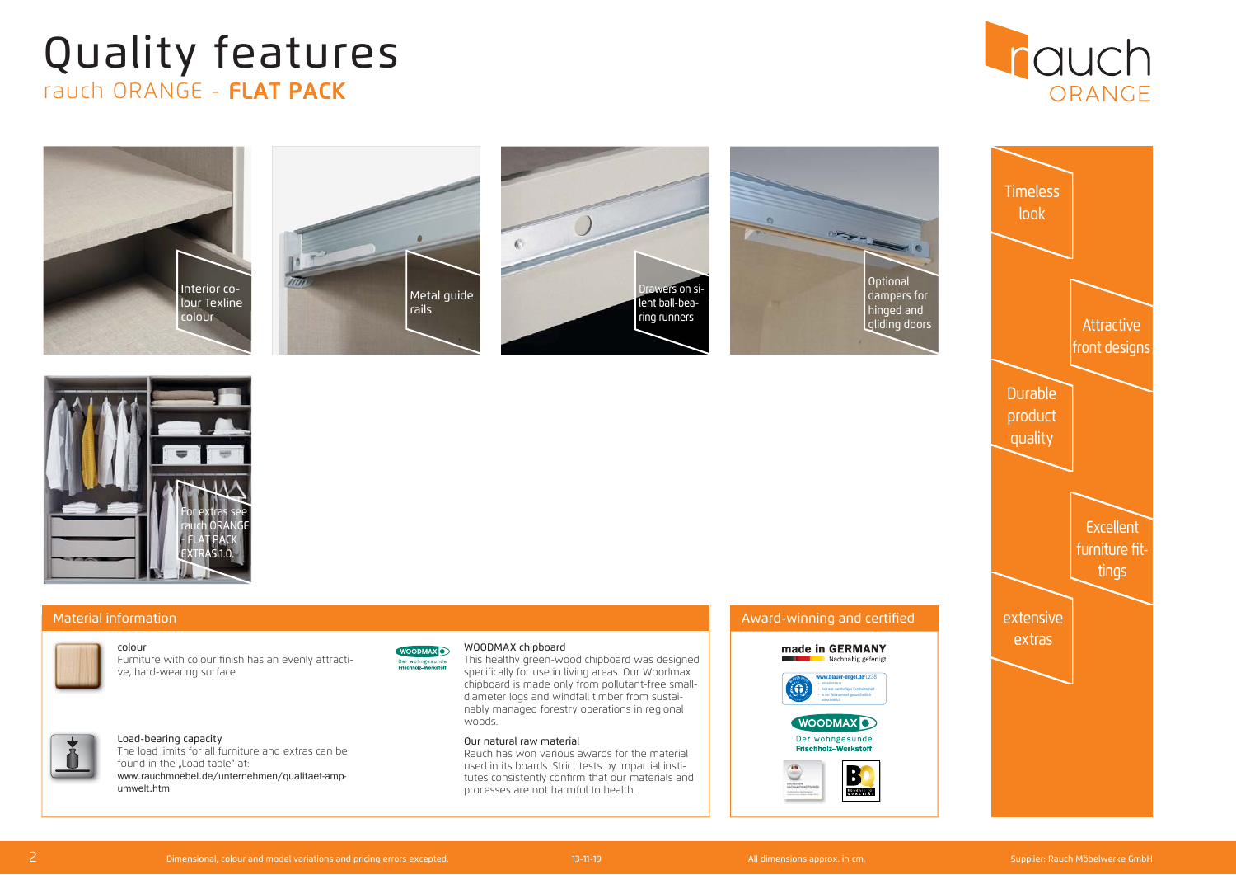## rauch ORANGE - FLAT PACK Quality features



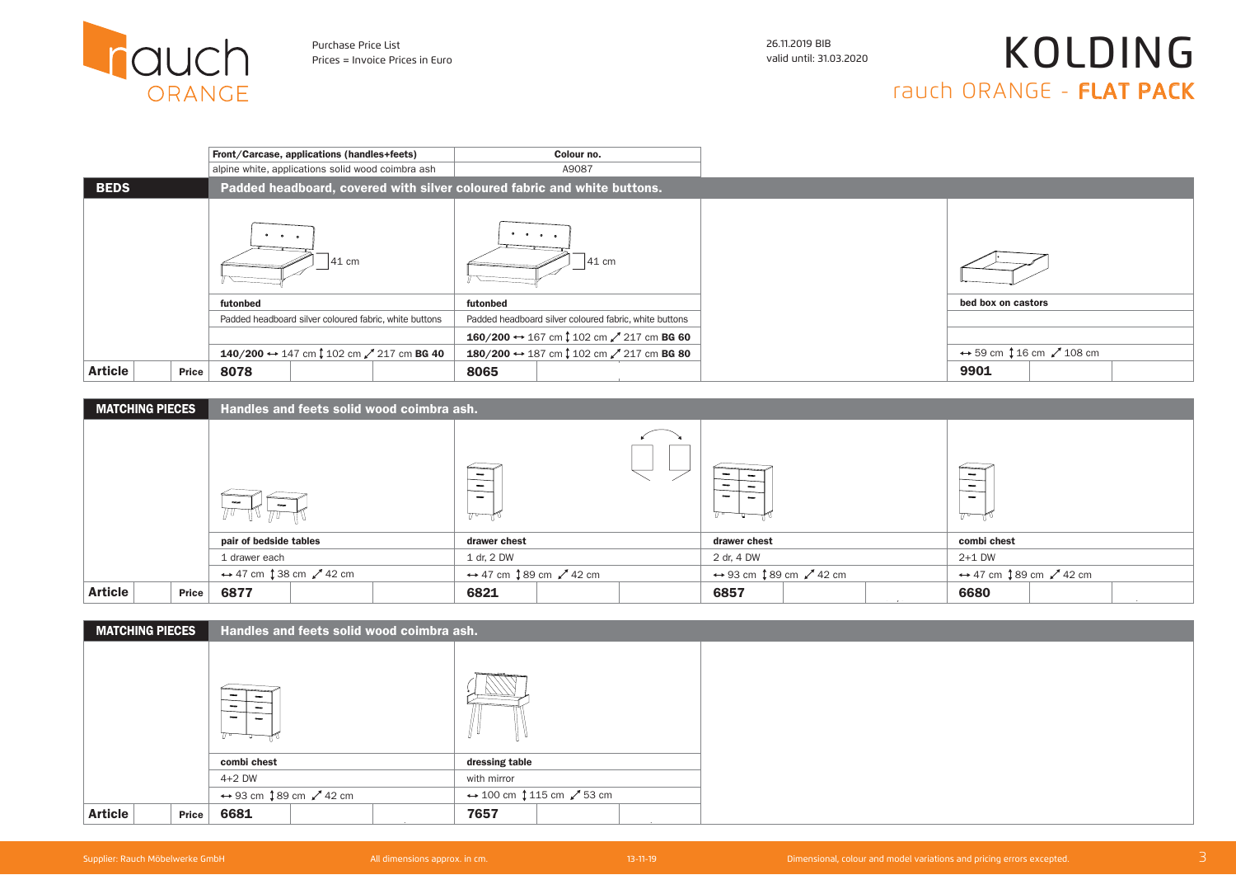

Prices = Invoice Prices in Euro valid until: 31.03.2020 Purchase Price List 26.11.2019 BIB

## KOLDING rauch ORANGE - FLAT PACK

|                         | Front/Carcase, applications (handles+feets)                                                                              | Colour no.                                                     |                                                              |
|-------------------------|--------------------------------------------------------------------------------------------------------------------------|----------------------------------------------------------------|--------------------------------------------------------------|
|                         | alpine white, applications solid wood coimbra ash                                                                        | A9087                                                          |                                                              |
| <b>BEDS</b>             | Padded headboard, covered with silver coloured fabric and white buttons.                                                 |                                                                |                                                              |
|                         | the contract of the contract of the contract of the contract of the contract of the contract of the contract of<br>41 cm | $\cdots$<br>$41 \text{ cm}$                                    |                                                              |
|                         | futonbed                                                                                                                 | futonbed                                                       | bed box on castors                                           |
|                         | Padded headboard silver coloured fabric, white buttons                                                                   | Padded headboard silver coloured fabric, white buttons         |                                                              |
|                         |                                                                                                                          | 160/200 ↔ 167 cm $\downarrow$ 102 cm $\swarrow$ 217 cm BG 60   |                                                              |
|                         | 140/200 ↔ 147 cm ↓ 102 cm / 217 cm BG 40                                                                                 | 180/200 ↔ 187 cm $\updownarrow$ 102 cm $\nearrow$ 217 cm BG 80 | $\leftrightarrow$ 59 cm $\downarrow$ 16 cm $\swarrow$ 108 cm |
| <b>Article</b><br>Price | 8078                                                                                                                     | 8065                                                           | 9901                                                         |

| <b>MATCHING PIECES</b> |       | Handles and feets solid wood coimbra ash.                   |  |                                                                                               |                                                             |  |   |                                                               |  |                                                      |                                                               |  |  |
|------------------------|-------|-------------------------------------------------------------|--|-----------------------------------------------------------------------------------------------|-------------------------------------------------------------|--|---|---------------------------------------------------------------|--|------------------------------------------------------|---------------------------------------------------------------|--|--|
|                        |       |                                                             |  | $\overline{\phantom{a}}$<br>$\qquad \qquad \blacksquare$<br>$\overline{\phantom{0}}$<br>$\pi$ |                                                             |  | - |                                                               |  | $\overline{\phantom{a}}$<br>$\overline{\phantom{0}}$ |                                                               |  |  |
|                        |       | pair of bedside tables                                      |  |                                                                                               | drawer chest                                                |  |   | drawer chest                                                  |  |                                                      | combi chest                                                   |  |  |
|                        |       | 1 drawer each                                               |  |                                                                                               | 1 dr. 2 DW                                                  |  |   | 2 dr, 4 DW                                                    |  |                                                      | $2+1$ DW                                                      |  |  |
|                        |       | $\leftrightarrow$ 47 cm $\downarrow$ 38 cm $\swarrow$ 42 cm |  |                                                                                               | $\leftrightarrow$ 47 cm $\downarrow$ 89 cm $\swarrow$ 42 cm |  |   | $\leftrightarrow$ 93 cm $\updownarrow$ 89 cm $\swarrow$ 42 cm |  |                                                      | $\leftrightarrow$ 47 cm $\updownarrow$ 89 cm $\swarrow$ 42 cm |  |  |
| <b>Article</b>         | Price | 6877                                                        |  |                                                                                               | 6821                                                        |  |   | 6857                                                          |  | $-- - - - - -$                                       | 6680                                                          |  |  |

| <b>MATCHING PIECES</b>  | Handles and feets solid wood coimbra ash. |                                                                                                                              |  |                |  |  |  |  |  |
|-------------------------|-------------------------------------------|------------------------------------------------------------------------------------------------------------------------------|--|----------------|--|--|--|--|--|
|                         | $\sim$                                    |                                                                                                                              |  |                |  |  |  |  |  |
|                         | combi chest                               |                                                                                                                              |  | dressing table |  |  |  |  |  |
|                         | $4+2$ DW                                  |                                                                                                                              |  | with mirror    |  |  |  |  |  |
|                         |                                           | $\leftrightarrow$ 100 cm $\downarrow$ 115 cm $\swarrow$ 53 cm<br>$\leftrightarrow$ 93 cm $\downarrow$ 89 cm $\swarrow$ 42 cm |  |                |  |  |  |  |  |
| <b>Article</b><br>Price | 6681                                      |                                                                                                                              |  | 7657           |  |  |  |  |  |